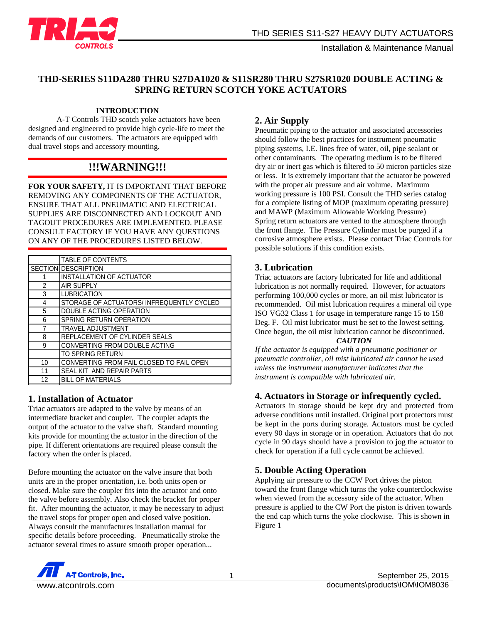

#### **THD-SERIES S11DA280 THRU S27DA1020 & S11SR280 THRU S27SR1020 DOUBLE ACTING & SPRING RETURN SCOTCH YOKE ACTUATORS**

#### **INTRODUCTION**

A-T Controls THD scotch yoke actuators have been designed and engineered to provide high cycle-life to meet the demands of our customers. The actuators are equipped with dual travel stops and accessory mounting.

# **!!!WARNING!!!**

**FOR YOUR SAFETY,** IT IS IMPORTANT THAT BEFORE REMOVING ANY COMPONENTS OF THE ACTUATOR, ENSURE THAT ALL PNEUMATIC AND ELECTRICAL SUPPLIES ARE DISCONNECTED AND LOCKOUT AND TAGOUT PROCEDURES ARE IMPLEMENTED. PLEASE CONSULT FACTORY IF YOU HAVE ANY QUESTIONS ON ANY OF THE PROCEDURES LISTED BELOW.

|               | <b>TABLE OF CONTENTS</b>                 |  |  |  |
|---------------|------------------------------------------|--|--|--|
|               | <b>SECTION DESCRIPTION</b>               |  |  |  |
|               | <b>INSTALLATION OF ACTUATOR</b>          |  |  |  |
| $\mathcal{P}$ | <b>AIR SUPPLY</b>                        |  |  |  |
| 3             | <b>LUBRICATION</b>                       |  |  |  |
| 4             | STORAGE OF ACTUATORS/INFREQUENTLY CYCLED |  |  |  |
| 5             | DOUBLE ACTING OPERATION                  |  |  |  |
| 6             | <b>SPRING RETURN OPERATION</b>           |  |  |  |
| 7             | <b>TRAVEL ADJUSTMENT</b>                 |  |  |  |
| 8             | REPLACEMENT OF CYLINDER SEALS            |  |  |  |
| 9             | CONVERTING FROM DOUBLE ACTING            |  |  |  |
|               | TO SPRING RETURN                         |  |  |  |
| 10            | CONVERTING FROM FAIL CLOSED TO FAIL OPEN |  |  |  |
| 11            | SEAL KIT AND REPAIR PARTS                |  |  |  |
| 12            | <b>BILL OF MATERIALS</b>                 |  |  |  |

#### **1. Installation of Actuator**

Triac actuators are adapted to the valve by means of an intermediate bracket and coupler. The coupler adapts the output of the actuator to the valve shaft. Standard mounting kits provide for mounting the actuator in the direction of the pipe. If different orientations are required please consult the factory when the order is placed.

Before mounting the actuator on the valve insure that both units are in the proper orientation, i.e. both units open or closed. Make sure the coupler fits into the actuator and onto the valve before assembly. Also check the bracket for proper fit. After mounting the actuator, it may be necessary to adjust the travel stops for proper open and closed valve position. Always consult the manufactures installation manual for specific details before proceeding. Pneumatically stroke the actuator several times to assure smooth proper operation...

## **2. Air Supply**

Pneumatic piping to the actuator and associated accessories should follow the best practices for instrument pneumatic piping systems, I.E. lines free of water, oil, pipe sealant or other contaminants. The operating medium is to be filtered dry air or inert gas which is filtered to 50 micron particles size or less. It is extremely important that the actuator be powered with the proper air pressure and air volume. Maximum working pressure is 100 PSI. Consult the THD series catalog for a complete listing of MOP (maximum operating pressure) and MAWP (Maximum Allowable Working Pressure) Spring return actuators are vented to the atmosphere through the front flange. The Pressure Cylinder must be purged if a corrosive atmosphere exists. Please contact Triac Controls for possible solutions if this condition exists.

#### **3. Lubrication**

Triac actuators are factory lubricated for life and additional lubrication is not normally required. However, for actuators performing 100,000 cycles or more, an oil mist lubricator is recommended. Oil mist lubrication requires a mineral oil type ISO VG32 Class 1 for usage in temperature range 15 to 158 Deg. F. Oil mist lubricator must be set to the lowest setting. Once begun, the oil mist lubrication cannot be discontinued.

#### *CAUTION*

*If the actuator is equipped with a pneumatic positioner or pneumatic controller, oil mist lubricated air cannot be used unless the instrument manufacturer indicates that the instrument is compatible with lubricated air.*

#### **4. Actuators in Storage or infrequently cycled.**

Actuators in storage should be kept dry and protected from adverse conditions until installed. Original port protectors must be kept in the ports during storage. Actuators must be cycled every 90 days in storage or in operation. Actuators that do not cycle in 90 days should have a provision to jog the actuator to check for operation if a full cycle cannot be achieved.

#### **5. Double Acting Operation**

Applying air pressure to the CCW Port drives the piston toward the front flange which turns the yoke counterclockwise when viewed from the accessory side of the actuator. When pressure is applied to the CW Port the piston is driven towards the end cap which turns the yoke clockwise. This is shown in Figure 1

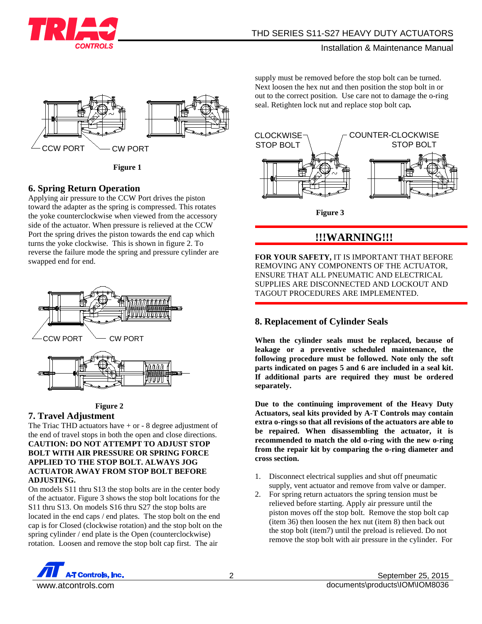



**Figure 1**

## **6. Spring Return Operation**

Applying air pressure to the CCW Port drives the piston toward the adapter as the spring is compressed. This rotates the yoke counterclockwise when viewed from the accessory side of the actuator. When pressure is relieved at the CCW Port the spring drives the piston towards the end cap which turns the yoke clockwise. This is shown in figure 2. To reverse the failure mode the spring and pressure cylinder are swapped end for end.



#### **Figure 2**

#### **7. Travel Adjustment**

The Triac THD actuators have + or - 8 degree adjustment of the end of travel stops in both the open and close directions. **CAUTION: DO NOT ATTEMPT TO ADJUST STOP BOLT WITH AIR PRESSURE OR SPRING FORCE APPLIED TO THE STOP BOLT. ALWAYS JOG ACTUATOR AWAY FROM STOP BOLT BEFORE ADJUSTING.**

On models S11 thru S13 the stop bolts are in the center body of the actuator. Figure 3 shows the stop bolt locations for the S11 thru S13. On models S16 thru S27 the stop bolts are located in the end caps / end plates. The stop bolt on the end cap is for Closed (clockwise rotation) and the stop bolt on the spring cylinder / end plate is the Open (counterclockwise) rotation. Loosen and remove the stop bolt cap first. The air

supply must be removed before the stop bolt can be turned. Next loosen the hex nut and then position the stop bolt in or out to the correct position. Use care not to damage the o-ring seal. Retighten lock nut and replace stop bolt cap*.*



# **!!!WARNING!!!**

**FOR YOUR SAFETY,** IT IS IMPORTANT THAT BEFORE REMOVING ANY COMPONENTS OF THE ACTUATOR, ENSURE THAT ALL PNEUMATIC AND ELECTRICAL SUPPLIES ARE DISCONNECTED AND LOCKOUT AND TAGOUT PROCEDURES ARE IMPLEMENTED.

## **8. Replacement of Cylinder Seals**

**When the cylinder seals must be replaced, because of leakage or a preventive scheduled maintenance, the following procedure must be followed. Note only the soft parts indicated on pages 5 and 6 are included in a seal kit. If additional parts are required they must be ordered separately.**

**Due to the continuing improvement of the Heavy Duty Actuators, seal kits provided by A-T Controls may contain extra o-rings so that all revisions of the actuators are able to be repaired. When disassembling the actuator, it is recommended to match the old o-ring with the new o-ring from the repair kit by comparing the o-ring diameter and cross section.**

- 1. Disconnect electrical supplies and shut off pneumatic supply, vent actuator and remove from valve or damper.
- 2. For spring return actuators the spring tension must be relieved before starting. Apply air pressure until the piston moves off the stop bolt. Remove the stop bolt cap (item 36) then loosen the hex nut (item 8) then back out the stop bolt (item7) until the preload is relieved. Do not remove the stop bolt with air pressure in the cylinder. For

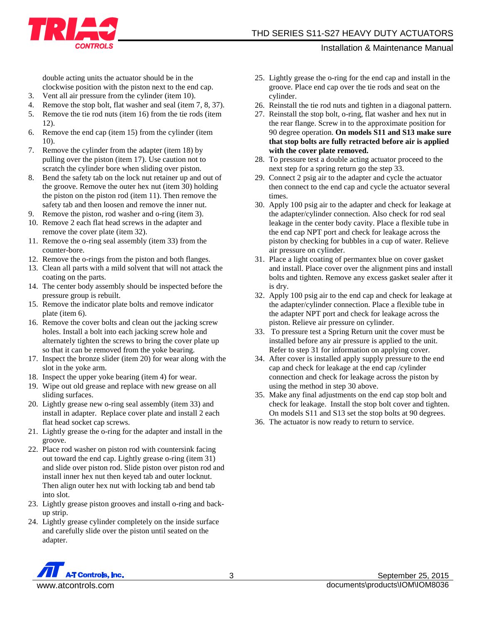double acting units the actuator should be in the clockwise position with the piston next to the end cap.

- 3. Vent all air pressure from the cylinder (item 10).
- 4. Remove the stop bolt, flat washer and seal (item 7, 8, 37).
- 5. Remove the tie rod nuts (item 16) from the tie rods (item 12).
- 6. Remove the end cap (item 15) from the cylinder (item 10).
- 7. Remove the cylinder from the adapter (item 18) by pulling over the piston (item 17). Use caution not to scratch the cylinder bore when sliding over piston.
- 8. Bend the safety tab on the lock nut retainer up and out of the groove. Remove the outer hex nut (item 30) holding the piston on the piston rod (item 11). Then remove the safety tab and then loosen and remove the inner nut.
- 9. Remove the piston, rod washer and o-ring (item 3).
- 10. Remove 2 each flat head screws in the adapter and remove the cover plate (item 32).
- 11. Remove the o-ring seal assembly (item 33) from the counter-bore.
- 12. Remove the o-rings from the piston and both flanges.
- 13. Clean all parts with a mild solvent that will not attack the coating on the parts.
- 14. The center body assembly should be inspected before the pressure group is rebuilt.
- 15. Remove the indicator plate bolts and remove indicator plate (item 6).
- 16. Remove the cover bolts and clean out the jacking screw holes. Install a bolt into each jacking screw hole and alternately tighten the screws to bring the cover plate up so that it can be removed from the yoke bearing.
- 17. Inspect the bronze slider (item 20) for wear along with the slot in the yoke arm.
- 18. Inspect the upper yoke bearing (item 4) for wear.
- 19. Wipe out old grease and replace with new grease on all sliding surfaces.
- 20. Lightly grease new o-ring seal assembly (item 33) and install in adapter. Replace cover plate and install 2 each flat head socket cap screws.
- 21. Lightly grease the o-ring for the adapter and install in the groove.
- 22. Place rod washer on piston rod with countersink facing out toward the end cap. Lightly grease o-ring (item 31) and slide over piston rod. Slide piston over piston rod and install inner hex nut then keyed tab and outer locknut. Then align outer hex nut with locking tab and bend tab into slot.
- 23. Lightly grease piston grooves and install o-ring and backup strip.
- 24. Lightly grease cylinder completely on the inside surface and carefully slide over the piston until seated on the adapter.
- 25. Lightly grease the o-ring for the end cap and install in the groove. Place end cap over the tie rods and seat on the cylinder.
- 26. Reinstall the tie rod nuts and tighten in a diagonal pattern.
- 27. Reinstall the stop bolt, o-ring, flat washer and hex nut in the rear flange. Screw in to the approximate position for 90 degree operation. **On models S11 and S13 make sure that stop bolts are fully retracted before air is applied with the cover plate removed.**
- 28. To pressure test a double acting actuator proceed to the next step for a spring return go the step 33.
- 29. Connect 2 psig air to the adapter and cycle the actuator then connect to the end cap and cycle the actuator several times.
- 30. Apply 100 psig air to the adapter and check for leakage at the adapter/cylinder connection. Also check for rod seal leakage in the center body cavity. Place a flexible tube in the end cap NPT port and check for leakage across the piston by checking for bubbles in a cup of water. Relieve air pressure on cylinder.
- 31. Place a light coating of permantex blue on cover gasket and install. Place cover over the alignment pins and install bolts and tighten. Remove any excess gasket sealer after it is dry.
- 32. Apply 100 psig air to the end cap and check for leakage at the adapter/cylinder connection. Place a flexible tube in the adapter NPT port and check for leakage across the piston. Relieve air pressure on cylinder.
- 33. To pressure test a Spring Return unit the cover must be installed before any air pressure is applied to the unit. Refer to step 31 for information on applying cover.
- 34. After cover is installed apply supply pressure to the end cap and check for leakage at the end cap /cylinder connection and check for leakage across the piston by using the method in step 30 above.
- 35. Make any final adjustments on the end cap stop bolt and check for leakage. Install the stop bolt cover and tighten. On models S11 and S13 set the stop bolts at 90 degrees.
- 36. The actuator is now ready to return to service.

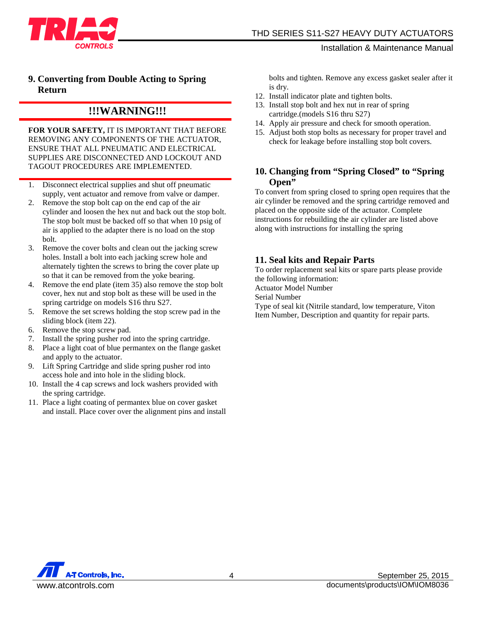

## **9. Converting from Double Acting to Spring Return**

# **!!!WARNING!!!**

**FOR YOUR SAFETY,** IT IS IMPORTANT THAT BEFORE REMOVING ANY COMPONENTS OF THE ACTUATOR, ENSURE THAT ALL PNEUMATIC AND ELECTRICAL SUPPLIES ARE DISCONNECTED AND LOCKOUT AND TAGOUT PROCEDURES ARE IMPLEMENTED.

- 1. Disconnect electrical supplies and shut off pneumatic supply, vent actuator and remove from valve or damper.
- 2. Remove the stop bolt cap on the end cap of the air cylinder and loosen the hex nut and back out the stop bolt. The stop bolt must be backed off so that when 10 psig of air is applied to the adapter there is no load on the stop bolt.
- 3. Remove the cover bolts and clean out the jacking screw holes. Install a bolt into each jacking screw hole and alternately tighten the screws to bring the cover plate up so that it can be removed from the yoke bearing.
- 4. Remove the end plate (item 35) also remove the stop bolt cover, hex nut and stop bolt as these will be used in the spring cartridge on models S16 thru S27.
- 5. Remove the set screws holding the stop screw pad in the sliding block (item 22).
- 6. Remove the stop screw pad.
- 7. Install the spring pusher rod into the spring cartridge.
- 8. Place a light coat of blue permantex on the flange gasket and apply to the actuator.
- 9. Lift Spring Cartridge and slide spring pusher rod into access hole and into hole in the sliding block.
- 10. Install the 4 cap screws and lock washers provided with the spring cartridge.
- 11. Place a light coating of permantex blue on cover gasket and install. Place cover over the alignment pins and install

bolts and tighten. Remove any excess gasket sealer after it is dry.

- 12. Install indicator plate and tighten bolts.
- 13. Install stop bolt and hex nut in rear of spring cartridge.(models S16 thru S27)
- 14. Apply air pressure and check for smooth operation.
- 15. Adjust both stop bolts as necessary for proper travel and check for leakage before installing stop bolt covers.

## **10. Changing from "Spring Closed" to "Spring Open"**

To convert from spring closed to spring open requires that the air cylinder be removed and the spring cartridge removed and placed on the opposite side of the actuator. Complete instructions for rebuilding the air cylinder are listed above along with instructions for installing the spring

## **11. Seal kits and Repair Parts**

To order replacement seal kits or spare parts please provide the following information:

Actuator Model Number

Serial Number

Type of seal kit (Nitrile standard, low temperature, Viton Item Number, Description and quantity for repair parts.

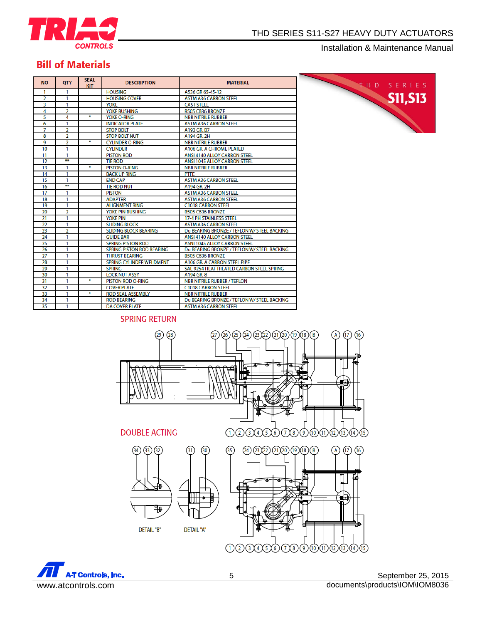

# **Bill of Materials**

| <b>NO</b>               | <b>QTY</b>     | <b>SEAL</b><br><b>KIT</b> | <b>DESCRIPTION</b>               | <b>MATERIAL</b>                             |
|-------------------------|----------------|---------------------------|----------------------------------|---------------------------------------------|
| 1                       | 1              |                           | <b>HOUSING</b>                   | A536 GR 65-45-12                            |
| $\overline{2}$          | 1              |                           | <b>HOUSING COVER</b>             | <b>ASTM A36 CARBON STEEL</b>                |
| $\overline{\mathbf{3}}$ | 1              |                           | <b>YOKE</b>                      | <b>CAST STEEL</b>                           |
| 4                       | $\overline{a}$ |                           | YOKE BUSHING                     | B505 C836 BRONZE                            |
| 5                       | 4              | ¥                         | YOKE O-RING                      | <b>NBR NITRILE RUBBER</b>                   |
| 6                       | 1              |                           | <b>INDICATOR PLATE</b>           | <b>ASTM A36 CARBON STEEL</b>                |
| 7                       | 2              |                           | <b>STOP BOLT</b>                 | A193 GR. B7                                 |
| 8                       | 2              |                           | <b>STOP BOLT NUT</b>             | A194 GR. 2H                                 |
| 9                       | 2              | ÷                         | <b>CYLINDER O-RING</b>           | <b>NBR NITRILE RUBBER</b>                   |
| 10                      | 1              |                           | <b>CYLINDER</b>                  | A106 GR. A CHROME PLATED                    |
| 11                      | 1              |                           | <b>PISTON ROD</b>                | <b>ANSI 4140 ALLOY CARBON STEEL</b>         |
| 12                      | ₩              |                           | <b>TIE ROD</b>                   | ANSI 1045 ALLOY CARBON STEEL                |
| 13                      | 1              | ₩                         | <b>PISTON O-RING</b>             | <b>NBR NITRILE RUBBER</b>                   |
| 14                      | 1              |                           | <b>BACK UP RING</b>              | <b>PTFF</b>                                 |
| 15                      | 1              |                           | <b>END CAP</b>                   | <b>ASTM A36 CARBON STEEL</b>                |
| 16                      | $\overline{}$  |                           | <b>TIE ROD NUT</b>               | A194 GR. 2H                                 |
| 17                      | 1              |                           | <b>PISTON</b>                    | <b>ASTM A36 CARBON STEEL</b>                |
| 18                      | 1              |                           | <b>ADAPTER</b>                   | <b>ASTM A36 CARBON STEEL</b>                |
| 19                      | 1              |                           | <b>ALIGNMENT RING</b>            | <b>C1018 CARBON STEEL</b>                   |
| 20                      | $\overline{2}$ |                           | YOKE PIN BUSHING                 | <b>B505 C836 BRONZE</b>                     |
| 21                      | 1              |                           | <b>YOKE PIN</b>                  | <b>17-4 PH STAINLESS STEEL</b>              |
| 22                      | 1              |                           | <b>SLIDING BLOCK</b>             | <b>ASTM A36 CARBON STEEL</b>                |
| 23                      | 2              |                           | <b>SLIDING BLOCK BEARING</b>     | Du BEARING BRONZE / TEFLON W/ STEEL BACKING |
| 24                      | 1              |                           | <b>GUIDE BAR</b>                 | ANSI 4140 ALLOY CARBON STEEL                |
| 25                      | 1              |                           | <b>SPRING PISTON ROD</b>         | <b>ASNI 1045 ALLOY CARBON STEEL</b>         |
| 26                      | 1              |                           | <b>SPRING PISTON ROD BEARING</b> | Du BEARING BRONZE / TEFLON W/ STEEL BACKING |
| 27                      | 1              |                           | <b>THRUST BEARING</b>            | <b>B505 C836 BRONZE</b>                     |
| 28                      | 1              |                           | <b>SPRING CYLINDER WELDMENT</b>  | A106 GR. A CARBON STEEL PIPE                |
| 29                      | 1              |                           | <b>SPRING</b>                    | SAE 9254 HEAT TREATED CARBON STEEL SPRING   |
| 30                      | 1              |                           | <b>LOCK NUT ASSY</b>             | A194 GR. 8                                  |
| 31                      | 1              | ₩                         | <b>PISTON ROD O-RING</b>         | <b>NBR NITRILE RUBBER / TEFLON</b>          |
| 32                      | 1              |                           | <b>COVER PLATE</b>               | <b>C1018 CARBON STEEL</b>                   |
| 33                      | 1              | ₩                         | <b>ROD SEAL ASSEMBLY</b>         | <b>NBR NITRILE RUBBER</b>                   |
| 34                      | 1              |                           | <b>ROD BEARING</b>               | Du BEARING BRONZE / TEFLON W/ STEEL BACKING |
| 35                      | 1              |                           | <b>DA COVER PLATE</b>            | <b>ASTM A36 CARBON STEEL</b>                |
|                         |                |                           |                                  |                                             |



## **SPRING RETURN**



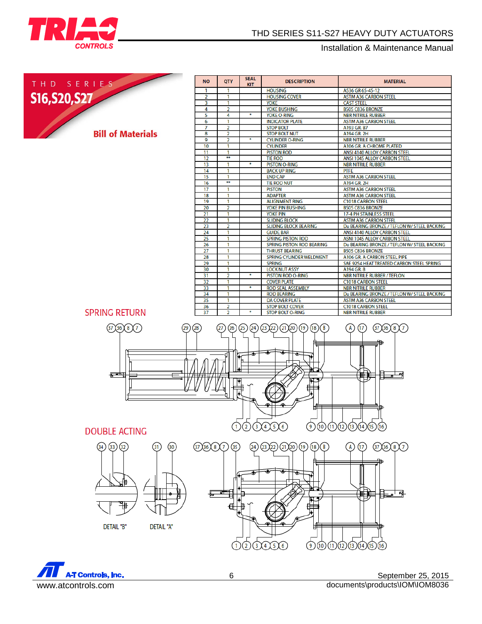

## THD SERIES S11-S27 HEAVY DUTY ACTUATORS

Installation & Maintenance Manual



| <b>NO</b>       | <b>QTY</b>     | <b>SEAL</b><br><b>KIT</b> | <b>DESCRIPTION</b>               | <b>MATERIAL</b>                             |
|-----------------|----------------|---------------------------|----------------------------------|---------------------------------------------|
| 1               | 1              |                           | <b>HOUSING</b>                   | A536 GR 65-45-12                            |
| $\overline{2}$  | 1              |                           | <b>HOUSING COVER</b>             | <b>ASTM A36 CARBON STEEL</b>                |
| 3               | 1              |                           | <b>YOKE</b>                      | <b>CAST STEEL</b>                           |
| 4               | $\overline{a}$ |                           | YOKE BUSHING                     | B505 C836 BRONZE                            |
| 5               | 4              | ¥                         | <b>YOKE O-RING</b>               | <b>NBR NITRILE RUBBER</b>                   |
| 6               | 1              |                           | <b>INDICATOR PLATE</b>           | <b>ASTM A36 CARBON STEEL</b>                |
| 7               | $\overline{2}$ |                           | <b>STOP BOLT</b>                 | A193 GR. B7                                 |
| 8               | $\overline{2}$ |                           | <b>STOP BOLT NUT</b>             | A194 GR. 2H                                 |
| $\overline{9}$  | $\overline{2}$ | ٠                         | <b>CYLINDER O-RING</b>           | <b>NBR NITRILE RUBBER</b>                   |
| 10              | 1              |                           | <b>CYLINDER</b>                  | A106 GR. A CHROME PLATED                    |
| 11              | 1              |                           | <b>PISTON ROD</b>                | <b>ANSI 4140 ALLOY CARBON STEEL</b>         |
| 12              | ¥¥             |                           | <b>TIE ROD</b>                   | <b>ANSI 1045 ALLOY CARBON STEEL</b>         |
| 13              | 1              | ¥                         | <b>PISTON O-RING</b>             | <b>NBR NITRILE RUBBER</b>                   |
| 14              | 1              |                           | <b>BACK UP RING</b>              | <b>PTFE</b>                                 |
| 15              | 1              |                           | <b>END CAP</b>                   | <b>ASTM A36 CARBON STEEL</b>                |
| 16              | ₩              |                           | <b>TIE ROD NUT</b>               | A194 GR. 2H                                 |
| 17              | 1              |                           | <b>PISTON</b>                    | <b>ASTM A36 CARBON STEEL</b>                |
| 18              | 1              |                           | <b>ADAPTER</b>                   | <b>ASTM A36 CARBON STEEL</b>                |
| 19              | 1              |                           | <b>ALIGNMENT RING</b>            | <b>C1018 CARBON STEEL</b>                   |
| 20              | $\overline{2}$ |                           | YOKE PIN BUSHING                 | B505 C836 BRONZE                            |
| $\overline{21}$ | 1              |                           | <b>YOKE PIN</b>                  | <b>17-4 PH STAINLESS STEEL</b>              |
| 22              | 1              |                           | <b>SLIDING BLOCK</b>             | <b>ASTM A36 CARBON STEEL</b>                |
| 23              | 2              |                           | <b>SLIDING BLOCK BEARING</b>     | Du BEARING BRONZE / TEFLON W/ STEEL BACKING |
| 24              | 1              |                           | <b>GUIDE BAR</b>                 | <b>ANSI 4140 ALLOY CARBON STEEL</b>         |
| 25              | 1              |                           | <b>SPRING PISTON ROD</b>         | <b>ASNI 1045 ALLOY CARBON STEEL</b>         |
| 26              | 1              |                           | <b>SPRING PISTON ROD BEARING</b> | Du BEARING BRONZE / TEFLON W/ STEEL BACKING |
| 27              | 1              |                           | <b>THRUST BEARING</b>            | B505 C836 BRONZE                            |
| 28              | 1              |                           | <b>SPRING CYLINDER WELDMENT</b>  | A106 GR. A CARBON STEEL PIPE                |
| 29              | ī              |                           | <b>SPRING</b>                    | SAE 9254 HEAT TREATED CARBON STEEL SPRING   |
| 30              | 1              |                           | <b>LOCK NUT ASSY</b>             | A194 GR. 8                                  |
| 31              | $\overline{2}$ | ¥                         | <b>PISTON ROD O-RING</b>         | <b>NBR NITRILE RUBBER / TEFLON</b>          |
| 32              | 1              |                           | <b>COVER PLATE</b>               | <b>C1018 CARBON STEEL</b>                   |
| 33              | 1              | ¥                         | <b>ROD SEAL ASSEMBLY</b>         | <b>NBR NITRILE RUBBER</b>                   |
| 34              | 1              |                           | <b>ROD BEARING</b>               | Du BEARING BRONZE / TEFLON W/ STEEL BACKING |
| 35              | 1              |                           | <b>DA COVER PLATE</b>            | <b>ASTM A36 CARBON STEEL</b>                |
| 36              | $\overline{a}$ |                           | <b>STOP BOLT COVER</b>           | <b>C1018 CARBON STEEL</b>                   |
| 37              | $\overline{2}$ | ٠                         | <b>STOP BOLT O-RING</b>          | <b>NBR NITRILE RUBBER</b>                   |

**SPRING RETURN** 



# **DOUBLE ACTING**